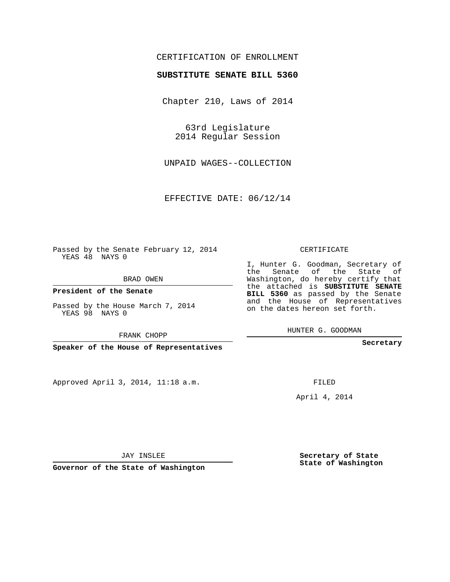## CERTIFICATION OF ENROLLMENT

## **SUBSTITUTE SENATE BILL 5360**

Chapter 210, Laws of 2014

63rd Legislature 2014 Regular Session

UNPAID WAGES--COLLECTION

EFFECTIVE DATE: 06/12/14

Passed by the Senate February 12, 2014 YEAS 48 NAYS 0

BRAD OWEN

**President of the Senate**

Passed by the House March 7, 2014 YEAS 98 NAYS 0

FRANK CHOPP

**Speaker of the House of Representatives**

Approved April 3, 2014, 11:18 a.m.

CERTIFICATE

I, Hunter G. Goodman, Secretary of the Senate of the State of Washington, do hereby certify that the attached is **SUBSTITUTE SENATE BILL 5360** as passed by the Senate and the House of Representatives on the dates hereon set forth.

HUNTER G. GOODMAN

**Secretary**

FILED

April 4, 2014

JAY INSLEE

**Governor of the State of Washington**

**Secretary of State State of Washington**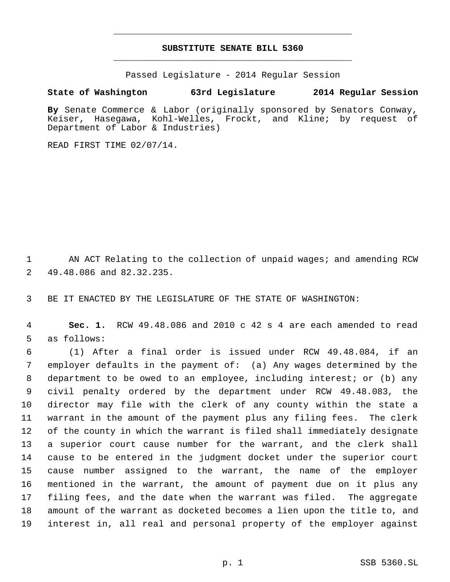## **SUBSTITUTE SENATE BILL 5360** \_\_\_\_\_\_\_\_\_\_\_\_\_\_\_\_\_\_\_\_\_\_\_\_\_\_\_\_\_\_\_\_\_\_\_\_\_\_\_\_\_\_\_\_\_

\_\_\_\_\_\_\_\_\_\_\_\_\_\_\_\_\_\_\_\_\_\_\_\_\_\_\_\_\_\_\_\_\_\_\_\_\_\_\_\_\_\_\_\_\_

Passed Legislature - 2014 Regular Session

## **State of Washington 63rd Legislature 2014 Regular Session**

**By** Senate Commerce & Labor (originally sponsored by Senators Conway, Keiser, Hasegawa, Kohl-Welles, Frockt, and Kline; by request of Department of Labor & Industries)

READ FIRST TIME 02/07/14.

1 AN ACT Relating to the collection of unpaid wages; and amending RCW 49.48.086 and 82.32.235.

BE IT ENACTED BY THE LEGISLATURE OF THE STATE OF WASHINGTON:

 **Sec. 1.** RCW 49.48.086 and 2010 c 42 s 4 are each amended to read as follows:

 (1) After a final order is issued under RCW 49.48.084, if an employer defaults in the payment of: (a) Any wages determined by the department to be owed to an employee, including interest; or (b) any civil penalty ordered by the department under RCW 49.48.083, the director may file with the clerk of any county within the state a warrant in the amount of the payment plus any filing fees. The clerk of the county in which the warrant is filed shall immediately designate a superior court cause number for the warrant, and the clerk shall cause to be entered in the judgment docket under the superior court cause number assigned to the warrant, the name of the employer mentioned in the warrant, the amount of payment due on it plus any filing fees, and the date when the warrant was filed. The aggregate amount of the warrant as docketed becomes a lien upon the title to, and interest in, all real and personal property of the employer against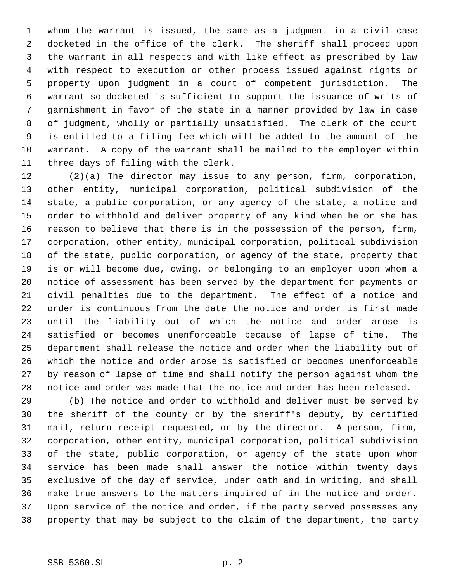whom the warrant is issued, the same as a judgment in a civil case docketed in the office of the clerk. The sheriff shall proceed upon the warrant in all respects and with like effect as prescribed by law with respect to execution or other process issued against rights or property upon judgment in a court of competent jurisdiction. The warrant so docketed is sufficient to support the issuance of writs of garnishment in favor of the state in a manner provided by law in case of judgment, wholly or partially unsatisfied. The clerk of the court is entitled to a filing fee which will be added to the amount of the warrant. A copy of the warrant shall be mailed to the employer within three days of filing with the clerk.

 (2)(a) The director may issue to any person, firm, corporation, other entity, municipal corporation, political subdivision of the state, a public corporation, or any agency of the state, a notice and order to withhold and deliver property of any kind when he or she has reason to believe that there is in the possession of the person, firm, corporation, other entity, municipal corporation, political subdivision of the state, public corporation, or agency of the state, property that is or will become due, owing, or belonging to an employer upon whom a notice of assessment has been served by the department for payments or civil penalties due to the department. The effect of a notice and order is continuous from the date the notice and order is first made until the liability out of which the notice and order arose is satisfied or becomes unenforceable because of lapse of time. The department shall release the notice and order when the liability out of which the notice and order arose is satisfied or becomes unenforceable by reason of lapse of time and shall notify the person against whom the notice and order was made that the notice and order has been released.

 (b) The notice and order to withhold and deliver must be served by the sheriff of the county or by the sheriff's deputy, by certified mail, return receipt requested, or by the director. A person, firm, corporation, other entity, municipal corporation, political subdivision of the state, public corporation, or agency of the state upon whom service has been made shall answer the notice within twenty days exclusive of the day of service, under oath and in writing, and shall make true answers to the matters inquired of in the notice and order. Upon service of the notice and order, if the party served possesses any property that may be subject to the claim of the department, the party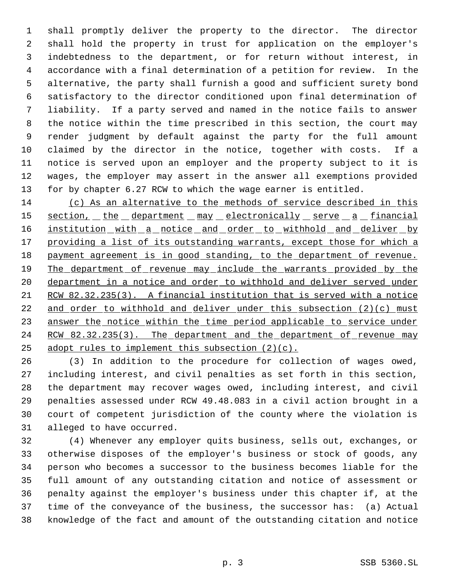shall promptly deliver the property to the director. The director shall hold the property in trust for application on the employer's indebtedness to the department, or for return without interest, in accordance with a final determination of a petition for review. In the alternative, the party shall furnish a good and sufficient surety bond satisfactory to the director conditioned upon final determination of liability. If a party served and named in the notice fails to answer the notice within the time prescribed in this section, the court may render judgment by default against the party for the full amount claimed by the director in the notice, together with costs. If a notice is served upon an employer and the property subject to it is wages, the employer may assert in the answer all exemptions provided for by chapter 6.27 RCW to which the wage earner is entitled.

 (c) As an alternative to the methods of service described in this 15 section, the department may electronically serve a financial 16 institution with a notice and order to withhold and deliver by 17 providing a list of its outstanding warrants, except those for which a 18 payment agreement is in good standing, to the department of revenue. 19 The department of revenue may include the warrants provided by the department in a notice and order to withhold and deliver served under RCW 82.32.235(3). A financial institution that is served with a notice 22 and order to withhold and deliver under this subsection  $(2)(c)$  must 23 answer the notice within the time period applicable to service under 24 RCW 82.32.235(3). The department and the department of revenue may 25 adopt rules to implement this subsection  $(2)(c)$ .

 (3) In addition to the procedure for collection of wages owed, including interest, and civil penalties as set forth in this section, the department may recover wages owed, including interest, and civil penalties assessed under RCW 49.48.083 in a civil action brought in a court of competent jurisdiction of the county where the violation is alleged to have occurred.

 (4) Whenever any employer quits business, sells out, exchanges, or otherwise disposes of the employer's business or stock of goods, any person who becomes a successor to the business becomes liable for the full amount of any outstanding citation and notice of assessment or penalty against the employer's business under this chapter if, at the time of the conveyance of the business, the successor has: (a) Actual knowledge of the fact and amount of the outstanding citation and notice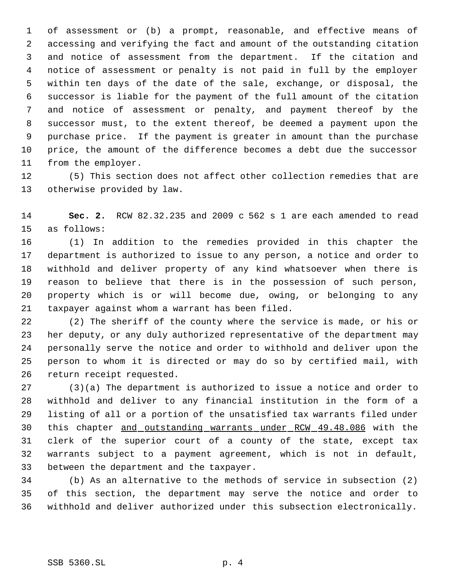of assessment or (b) a prompt, reasonable, and effective means of accessing and verifying the fact and amount of the outstanding citation and notice of assessment from the department. If the citation and notice of assessment or penalty is not paid in full by the employer within ten days of the date of the sale, exchange, or disposal, the successor is liable for the payment of the full amount of the citation and notice of assessment or penalty, and payment thereof by the successor must, to the extent thereof, be deemed a payment upon the purchase price. If the payment is greater in amount than the purchase price, the amount of the difference becomes a debt due the successor from the employer.

 (5) This section does not affect other collection remedies that are otherwise provided by law.

 **Sec. 2.** RCW 82.32.235 and 2009 c 562 s 1 are each amended to read as follows:

 (1) In addition to the remedies provided in this chapter the department is authorized to issue to any person, a notice and order to withhold and deliver property of any kind whatsoever when there is reason to believe that there is in the possession of such person, property which is or will become due, owing, or belonging to any taxpayer against whom a warrant has been filed.

 (2) The sheriff of the county where the service is made, or his or her deputy, or any duly authorized representative of the department may personally serve the notice and order to withhold and deliver upon the person to whom it is directed or may do so by certified mail, with return receipt requested.

 (3)(a) The department is authorized to issue a notice and order to withhold and deliver to any financial institution in the form of a listing of all or a portion of the unsatisfied tax warrants filed under this chapter and outstanding warrants under RCW 49.48.086 with the clerk of the superior court of a county of the state, except tax warrants subject to a payment agreement, which is not in default, between the department and the taxpayer.

 (b) As an alternative to the methods of service in subsection (2) of this section, the department may serve the notice and order to withhold and deliver authorized under this subsection electronically.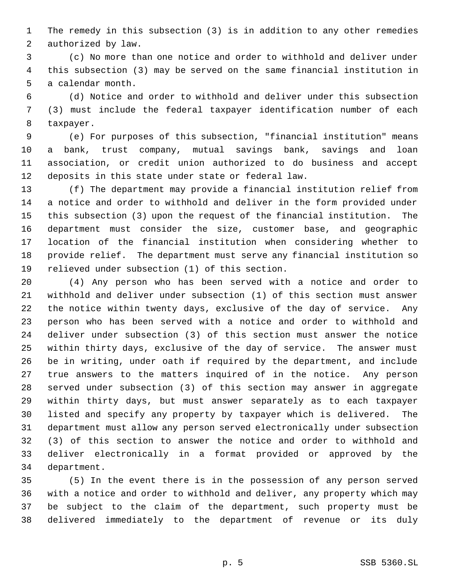The remedy in this subsection (3) is in addition to any other remedies authorized by law.

 (c) No more than one notice and order to withhold and deliver under this subsection (3) may be served on the same financial institution in a calendar month.

 (d) Notice and order to withhold and deliver under this subsection (3) must include the federal taxpayer identification number of each taxpayer.

 (e) For purposes of this subsection, "financial institution" means a bank, trust company, mutual savings bank, savings and loan association, or credit union authorized to do business and accept deposits in this state under state or federal law.

 (f) The department may provide a financial institution relief from a notice and order to withhold and deliver in the form provided under this subsection (3) upon the request of the financial institution. The department must consider the size, customer base, and geographic location of the financial institution when considering whether to provide relief. The department must serve any financial institution so relieved under subsection (1) of this section.

 (4) Any person who has been served with a notice and order to withhold and deliver under subsection (1) of this section must answer the notice within twenty days, exclusive of the day of service. Any person who has been served with a notice and order to withhold and deliver under subsection (3) of this section must answer the notice within thirty days, exclusive of the day of service. The answer must be in writing, under oath if required by the department, and include true answers to the matters inquired of in the notice. Any person served under subsection (3) of this section may answer in aggregate within thirty days, but must answer separately as to each taxpayer listed and specify any property by taxpayer which is delivered. The department must allow any person served electronically under subsection (3) of this section to answer the notice and order to withhold and deliver electronically in a format provided or approved by the department.

 (5) In the event there is in the possession of any person served with a notice and order to withhold and deliver, any property which may be subject to the claim of the department, such property must be delivered immediately to the department of revenue or its duly